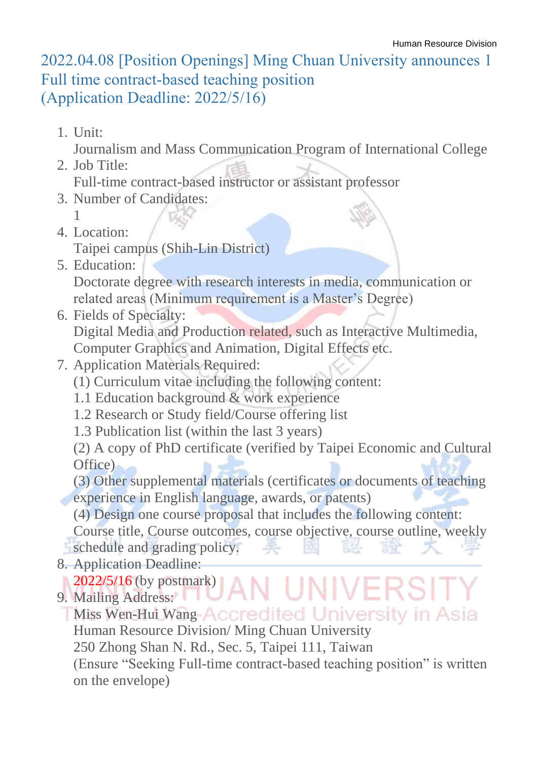## 2022.04.08 [Position Openings] Ming Chuan University announces 1 Full time contract-based teaching position (Application Deadline: 2022/5/16)

1. Unit:

Journalism and Mass Communication Program of International College

2. Job Title:

Full-time contract-based instructor or assistant professor

- 3. Number of Candidates: 1
- 4. Location:

Taipei campus (Shih-Lin District)

- 5. Education: Doctorate degree with research interests in media, communication or related areas (Minimum requirement is a Master's Degree)
- 6. Fields of Specialty:

Digital Media and Production related, such as Interactive Multimedia, Computer Graphics and Animation, Digital Effects etc.

- 7. Application Materials Required:
	- (1) Curriculum vitae including the following content:
	- 1.1 Education background & work experience
	- 1.2 Research or Study field/Course offering list
	- 1.3 Publication list (within the last 3 years)

(2) A copy of PhD certificate (verified by Taipei Economic and Cultural Office)

(3) Other supplemental materials (certificates or documents of teaching experience in English language, awards, or patents)

(4) Design one course proposal that includes the following content:

Course title, Course outcomes, course objective, course outline, weekly

UNIVE

- schedule and grading policy.
- 8. Application Deadline:

**2022/5/16 (by postmark)** 

9. Mailing Address:

**TMiss Wen-Hui Wang-Accredited University in Asia** Human Resource Division/ Ming Chuan University 250 Zhong Shan N. Rd., Sec. 5, Taipei 111, Taiwan (Ensure "Seeking Full-time contract-based teaching position" is written on the envelope)